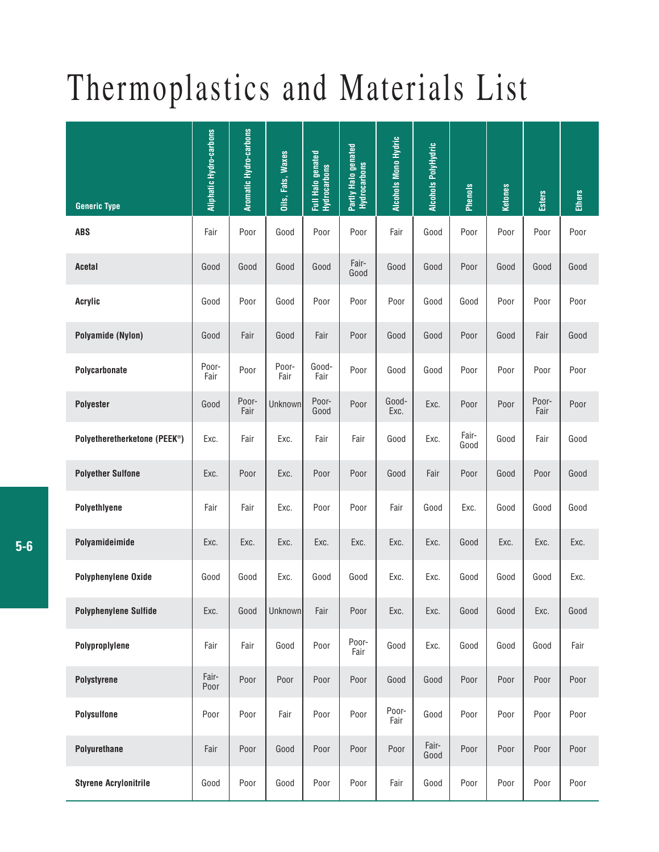## Thermoplastics and Materials List

|                                   | Aliphatic Hydro-carbons | <b>Aromatic Hydro-carbons</b> | <b>Oils, Fats, Waxes</b> | Full Halo genated<br>Hydrocarbons | Partly Halo genated<br>Hydrocarbons | <b>Alcohols Mono Hydric</b> | Alcohols PolyHydric | <b>Phenols</b> | Ketones | <b>Esters</b> | Ethers |
|-----------------------------------|-------------------------|-------------------------------|--------------------------|-----------------------------------|-------------------------------------|-----------------------------|---------------------|----------------|---------|---------------|--------|
| <b>Generic Type</b><br><b>ABS</b> | Fair                    | Poor                          | Good                     | Poor                              | Poor                                | Fair                        | Good                | Poor           | Poor    | Poor          | Poor   |
| Acetal                            | Good                    | Good                          | Good                     | Good                              | Fair-<br>Good                       | Good                        | Good                | Poor           | Good    | Good          | Good   |
| <b>Acrylic</b>                    | Good                    | Poor                          | Good                     | Poor                              | Poor                                | Poor                        | Good                | Good           | Poor    | Poor          | Poor   |
| Polyamide (Nylon)                 | Good                    | Fair                          | Good                     | Fair                              | Poor                                | Good                        | Good                | Poor           | Good    | Fair          | Good   |
| Polycarbonate                     | Poor-<br>Fair           | Poor                          | Poor-<br>Fair            | Good-<br>Fair                     | Poor                                | Good                        | Good                | Poor           | Poor    | Poor          | Poor   |
| <b>Polyester</b>                  | Good                    | Poor-<br>Fair                 | Unknown                  | Poor-<br>Good                     | Poor                                | Good-<br>Exc.               | Exc.                | Poor           | Poor    | Poor-<br>Fair | Poor   |
| Polyetheretherketone (PEEK®)      | Exc.                    | Fair                          | Exc.                     | Fair                              | Fair                                | Good                        | Exc.                | Fair-<br>Good  | Good    | Fair          | Good   |
| <b>Polyether Sulfone</b>          | Exc.                    | Poor                          | Exc.                     | Poor                              | Poor                                | Good                        | Fair                | Poor           | Good    | Poor          | Good   |
| Polyethlyene                      | Fair                    | Fair                          | Exc.                     | Poor                              | Poor                                | Fair                        | Good                | Exc.           | Good    | Good          | Good   |
| Polyamideimide                    | Exc.                    | Exc.                          | Exc.                     | Exc.                              | Exc.                                | Exc.                        | Exc.                | Good           | Exc.    | Exc.          | Exc.   |
| Polyphenylene Oxide               | Good                    | Good                          | Exc.                     | Good                              | Good                                | Exc.                        | Exc.                | Good           | Good    | Good          | Exc.   |
| <b>Polyphenylene Sulfide</b>      | Exc.                    | Good                          | Unknown                  | Fair                              | Poor                                | Exc.                        | Exc.                | Good           | Good    | Exc.          | Good   |
| Polyproplylene                    | Fair                    | Fair                          | Good                     | Poor                              | Poor-<br>Fair                       | Good                        | Exc.                | Good           | Good    | Good          | Fair   |
| Polystyrene                       | Fair-<br>Poor           | Poor                          | Poor                     | Poor                              | Poor                                | Good                        | Good                | Poor           | Poor    | Poor          | Poor   |
| <b>Polysulfone</b>                | Poor                    | Poor                          | Fair                     | Poor                              | Poor                                | Poor-<br>Fair               | Good                | Poor           | Poor    | Poor          | Poor   |
| Polyurethane                      | Fair                    | Poor                          | Good                     | Poor                              | Poor                                | Poor                        | Fair-<br>Good       | Poor           | Poor    | Poor          | Poor   |
| <b>Styrene Acrylonitrile</b>      | Good                    | Poor                          | Good                     | Poor                              | Poor                                | Fair                        | Good                | Poor           | Poor    | Poor          | Poor   |